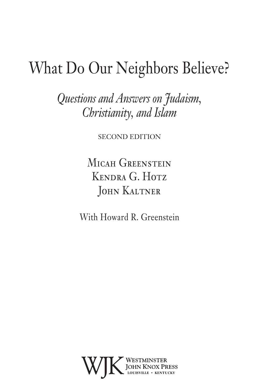# What Do Our Neighbors Believe?

*Questions and Answers on Judaism, Christianity, and Islam*

SECOND EDITION

Micah Greenstein KENDRA G. HOTZ JOHN KALTNER

With Howard R. Greenstein

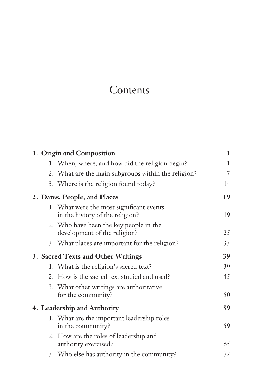### **Contents**

| 1. Origin and Composition                                                   | 1              |
|-----------------------------------------------------------------------------|----------------|
| 1. When, where, and how did the religion begin?                             | 1              |
| 2. What are the main subgroups within the religion?                         | $\overline{7}$ |
| 3. Where is the religion found today?                                       | 14             |
| 2. Dates, People, and Places                                                | 19             |
| 1. What were the most significant events<br>in the history of the religion? | 19             |
| 2. Who have been the key people in the<br>development of the religion?      | 25             |
| 3. What places are important for the religion?                              | 33             |
| 3. Sacred Texts and Other Writings                                          | 39             |
| 1. What is the religion's sacred text?                                      | 39             |
| 2. How is the sacred text studied and used?                                 | 45             |
| 3. What other writings are authoritative<br>for the community?              | 50             |
| 4. Leadership and Authority                                                 | 59             |
| 1. What are the important leadership roles<br>in the community?             | 59             |
| 2. How are the roles of leadership and<br>authority exercised?              | 65             |
| 3. Who else has authority in the community?                                 | 72             |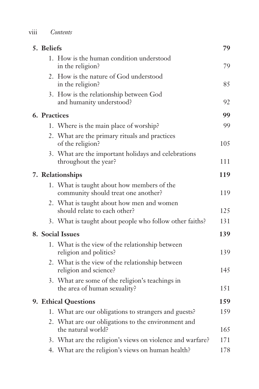| 5. Beliefs   |                                                                                   | 79  |
|--------------|-----------------------------------------------------------------------------------|-----|
| 1.           | How is the human condition understood<br>in the religion?                         | 79  |
|              | 2. How is the nature of God understood<br>in the religion?                        | 85  |
|              | 3. How is the relationship between God<br>and humanity understood?                | 92  |
| 6. Practices |                                                                                   | 99  |
|              | 1. Where is the main place of worship?                                            | 99  |
|              | 2. What are the primary rituals and practices<br>of the religion?                 | 105 |
|              | 3. What are the important holidays and celebrations<br>throughout the year?       | 111 |
|              | 7. Relationships                                                                  | 119 |
|              | 1. What is taught about how members of the<br>community should treat one another? | 119 |
|              | 2. What is taught about how men and women<br>should relate to each other?         | 125 |
|              | 3. What is taught about people who follow other faiths?                           | 131 |
|              | 8. Social Issues                                                                  | 139 |
|              | 1. What is the view of the relationship between<br>religion and politics?         | 139 |
|              | 2. What is the view of the relationship between<br>religion and science?          | 145 |
|              | 3. What are some of the religion's teachings in<br>the area of human sexuality?   | 151 |
|              | 9. Ethical Questions                                                              | 159 |
|              | 1. What are our obligations to strangers and guests?                              | 159 |
|              | 2. What are our obligations to the environment and<br>the natural world?          | 165 |
|              | 3. What are the religion's views on violence and warfare?                         | 171 |
|              | 4. What are the religion's views on human health?                                 | 178 |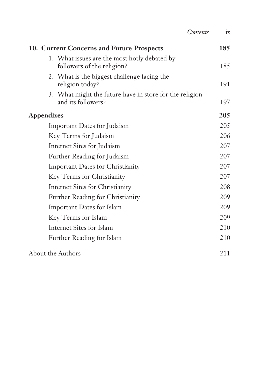| Contents                                                                      | ix  |
|-------------------------------------------------------------------------------|-----|
| 10. Current Concerns and Future Prospects                                     | 185 |
| 1. What issues are the most hotly debated by<br>followers of the religion?    | 185 |
| 2. What is the biggest challenge facing the<br>religion today?                | 191 |
| 3. What might the future have in store for the religion<br>and its followers? | 197 |
| <b>Appendixes</b>                                                             |     |
| <b>Important Dates for Judaism</b>                                            | 205 |
| Key Terms for Judaism                                                         | 206 |
| Internet Sites for Judaism                                                    | 207 |
| Further Reading for Judaism                                                   | 207 |
| <b>Important Dates for Christianity</b>                                       | 207 |
| Key Terms for Christianity                                                    | 207 |
| <b>Internet Sites for Christianity</b>                                        | 208 |
| Further Reading for Christianity                                              | 209 |
| <b>Important Dates for Islam</b>                                              | 209 |
| Key Terms for Islam                                                           | 209 |
| <b>Internet Sites for Islam</b>                                               | 210 |
| Further Reading for Islam                                                     | 210 |
| About the Authors                                                             |     |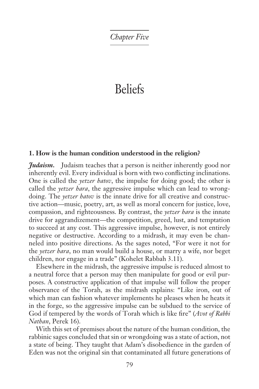### *Chapter Five*

## Beliefs

#### **1. How is the human condition understood in the religion?**

*Judaism*. Judaism teaches that a person is neither inherently good nor inherently evil. Every individual is born with two conflicting inclinations. One is called the *yetzer hatov*, the impulse for doing good; the other is called the *yetzer hara*, the aggressive impulse which can lead to wrongdoing. The *yetzer hatov* is the innate drive for all creative and constructive action—music, poetry, art, as well as moral concern for justice, love, compassion, and righteousness. By contrast, the *yetzer hara* is the innate drive for aggrandizement—the competition, greed, lust, and temptation to succeed at any cost. This aggressive impulse, however, is not entirely negative or destructive. According to a midrash, it may even be channeled into positive directions. As the sages noted, "For were it not for the *yetzer hara*, no man would build a house, or marry a wife, nor beget children, nor engage in a trade" (Kohelet Rabbah 3.11).

Elsewhere in the midrash, the aggressive impulse is reduced almost to a neutral force that a person may then manipulate for good or evil purposes. A constructive application of that impulse will follow the proper observance of the Torah, as the midrash explains: "Like iron, out of which man can fashion whatever implements he pleases when he heats it in the forge, so the aggressive impulse can be subdued to the service of God if tempered by the words of Torah which is like fire" (*Avot of Rabbi Nathan*, Perek 16).

With this set of premises about the nature of the human condition, the rabbinic sages concluded that sin or wrongdoing was a state of action, not a state of being. They taught that Adam's disobedience in the garden of Eden was not the original sin that contaminated all future generations of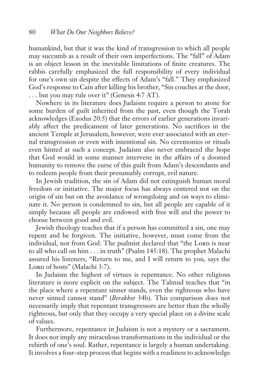humankind, but that it was the kind of transgression to which all people may succumb as a result of their own imperfections. The "fall" of Adam is an object lesson in the inevitable limitations of finite creatures. The rabbis carefully emphasized the full responsibility of every individual for one's own sin despite the effects of Adam's "fall." They emphasized God's response to Cain after killing his brother, "Sin couches at the door, . . . but you may rule over it" (Genesis 4:7 AT).

Nowhere in its literature does Judaism require a person to atone for some burden of guilt inherited from the past, even though the Torah acknowledges (Exodus 20:5) that the errors of earlier generations invariably affect the predicament of later generations. No sacrifices in the ancient Temple at Jerusalem, however, were ever associated with an eternal transgression or even with intentional sin. No ceremonies or rituals even hinted at such a concept. Judaism also never embraced the hope that God would in some manner intervene in the affairs of a doomed humanity to remove the curse of this guilt from Adam's descendants and to redeem people from their presumably corrupt, evil nature.

In Jewish tradition, the sin of Adam did not extinguish human moral freedom or initiative. The major focus has always centered not on the origin of sin but on the avoidance of wrongdoing and on ways to eliminate it. No person is condemned to sin, but all people are capable of it simply because all people are endowed with free will and the power to choose between good and evil.

Jewish theology teaches that if a person has committed a sin, one may repent and be forgiven. The initiative, however, must come from the individual, not from God. The psalmist declared that "the Lorp is near to all who call on him . . . in truth" (Psalm 145:18). The prophet Malachi assured his listeners, "Return to me, and I will return to you, says the LORD of hosts" (Malachi 3:7).

In Judaism the highest of virtues is repentance. No other religious literature is more explicit on the subject. The Talmud teaches that "in the place where a repentant sinner stands, even the righteous who have never sinned cannot stand" (*Berakhot* 34b). This comparison does not necessarily imply that repentant transgressors are better than the wholly righteous, but only that they occupy a very special place on a divine scale of values.

Furthermore, repentance in Judaism is not a mystery or a sacrament. It does not imply any miraculous transformations in the individual or the rebirth of one's soul. Rather, repentance is largely a human undertaking. It involves a four-step process that begins with a readiness to acknowledge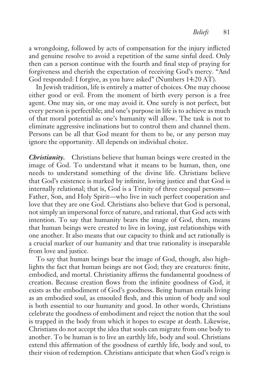a wrongdoing, followed by acts of compensation for the injury inflicted and genuine resolve to avoid a repetition of the same sinful deed. Only then can a person continue with the fourth and final step of praying for forgiveness and cherish the expectation of receiving God's mercy. "And God responded: I forgive, as you have asked" (Numbers 14:20 AT).

In Jewish tradition, life is entirely a matter of choices. One may choose either good or evil. From the moment of birth every person is a free agent. One may sin, or one may avoid it. One surely is not perfect, but every person is perfectible; and one's purpose in life is to achieve as much of that moral potential as one's humanity will allow. The task is not to eliminate aggressive inclinations but to control them and channel them. Persons can be all that God meant for them to be, or any person may ignore the opportunity. All depends on individual choice.

*Christianity.* Christians believe that human beings were created in the image of God. To understand what it means to be human, then, one needs to understand something of the divine life. Christians believe that God's existence is marked by infinite, loving justice and that God is internally relational; that is, God is a Trinity of three coequal persons— Father, Son, and Holy Spirit—who live in such perfect cooperation and love that they are one God. Christians also believe that God is personal, not simply an impersonal force of nature, and rational, that God acts with intention. To say that humanity bears the image of God, then, means that human beings were created to live in loving, just relationships with one another. It also means that our capacity to think and act rationally is a crucial marker of our humanity and that true rationality is inseparable from love and justice.

To say that human beings bear the image of God, though, also highlights the fact that human beings are not God; they are creatures: finite, embodied, and mortal. Christianity affirms the fundamental goodness of creation. Because creation flows from the infinite goodness of God, it exists as the embodiment of God's goodness. Being human entails living as an embodied soul, as ensouled flesh, and this union of body and soul is both essential to our humanity and good. In other words, Christians celebrate the goodness of embodiment and reject the notion that the soul is trapped in the body from which it hopes to escape at death. Likewise, Christians do not accept the idea that souls can migrate from one body to another. To be human is to live an earthly life, body and soul. Christians extend this affirmation of the goodness of earthly life, body and soul, to their vision of redemption. Christians anticipate that when God's reign is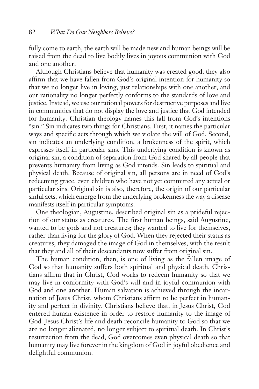fully come to earth, the earth will be made new and human beings will be raised from the dead to live bodily lives in joyous communion with God and one another.

Although Christians believe that humanity was created good, they also affirm that we have fallen from God's original intention for humanity so that we no longer live in loving, just relationships with one another, and our rationality no longer perfectly conforms to the standards of love and justice. Instead, we use our rational powers for destructive purposes and live in communities that do not display the love and justice that God intended for humanity. Christian theology names this fall from God's intentions "sin." Sin indicates two things for Christians. First, it names the particular ways and specific acts through which we violate the will of God. Second, sin indicates an underlying condition, a brokenness of the spirit, which expresses itself in particular sins. This underlying condition is known as original sin, a condition of separation from God shared by all people that prevents humanity from living as God intends. Sin leads to spiritual and physical death. Because of original sin, all persons are in need of God's redeeming grace, even children who have not yet committed any actual or particular sins. Original sin is also, therefore, the origin of our particular sinful acts, which emerge from the underlying brokenness the way a disease manifests itself in particular symptoms.

One theologian, Augustine, described original sin as a prideful rejection of our status as creatures. The first human beings, said Augustine, wanted to be gods and not creatures; they wanted to live for themselves, rather than living for the glory of God. When they rejected their status as creatures, they damaged the image of God in themselves, with the result that they and all of their descendants now suffer from original sin.

The human condition, then, is one of living as the fallen image of God so that humanity suffers both spiritual and physical death. Christians affirm that in Christ, God works to redeem humanity so that we may live in conformity with God's will and in joyful communion with God and one another. Human salvation is achieved through the incarnation of Jesus Christ, whom Christians affirm to be perfect in humanity and perfect in divinity. Christians believe that, in Jesus Christ, God entered human existence in order to restore humanity to the image of God. Jesus Christ's life and death reconcile humanity to God so that we are no longer alienated, no longer subject to spiritual death. In Christ's resurrection from the dead, God overcomes even physical death so that humanity may live forever in the kingdom of God in joyful obedience and delightful communion.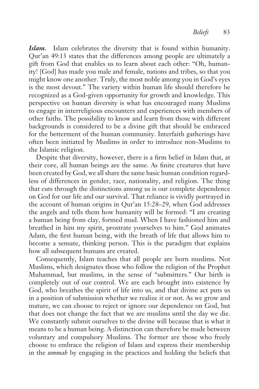*Islam.* Islam celebrates the diversity that is found within humanity. Qur'an 49:13 states that the differences among people are ultimately a gift from God that enables us to learn about each other: "Oh, humanity! [God] has made you male and female, nations and tribes, so that you might know one another. Truly, the most noble among you in God's eyes is the most devout." The variety within human life should therefore be recognized as a God-given opportunity for growth and knowledge. This perspective on human diversity is what has encouraged many Muslims to engage in interreligious encounters and experiences with members of other faiths. The possibility to know and learn from those with different backgrounds is considered to be a divine gift that should be embraced for the betterment of the human community. Interfaith gatherings have often been initiated by Muslims in order to introduce non-Muslims to the Islamic religion.

Despite that diversity, however, there is a firm belief in Islam that, at their core, all human beings are the same. As finite creatures that have been created by God, we all share the same basic human condition regardless of differences in gender, race, nationality, and religion. The thing that cuts through the distinctions among us is our complete dependence on God for our life and our survival. That reliance is vividly portrayed in the account of human origins in Qur'an 15:28–29, when God addresses the angels and tells them how humanity will be formed: "I am creating a human being from clay, formed mud. When I have fashioned him and breathed in him my spirit, prostrate yourselves to him." God animates Adam, the first human being, with the breath of life that allows him to become a sensate, thinking person. This is the paradigm that explains how all subsequent humans are created.

Consequently, Islam teaches that all people are born muslims. Not Muslims, which designates those who follow the religion of the Prophet Muhammad, but muslims, in the sense of "submitters." Our birth is completely out of our control. We are each brought into existence by God, who breathes the spirit of life into us, and that divine act puts us in a position of submission whether we realize it or not. As we grow and mature, we can choose to reject or ignore our dependence on God, but that does not change the fact that we are muslims until the day we die. We constantly submit ourselves to the divine will because that is what it means to be a human being. A distinction can therefore be made between voluntary and compulsory Muslims. The former are those who freely choose to embrace the religion of Islam and express their membership in the *ummah* by engaging in the practices and holding the beliefs that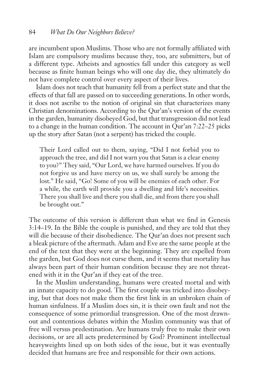are incumbent upon Muslims. Those who are not formally affiliated with Islam are compulsory muslims because they, too, are submitters, but of a different type. Atheists and agnostics fall under this category as well because as finite human beings who will one day die, they ultimately do not have complete control over every aspect of their lives.

Islam does not teach that humanity fell from a perfect state and that the effects of that fall are passed on to succeeding generations. In other words, it does not ascribe to the notion of original sin that characterizes many Christian denominations. According to the Qur'an's version of the events in the garden, humanity disobeyed God, but that transgression did not lead to a change in the human condition. The account in Qur'an 7:22–25 picks up the story after Satan (not a serpent) has tricked the couple.

Their Lord called out to them, saying, "Did I not forbid you to approach the tree, and did I not warn you that Satan is a clear enemy to you?" They said, "Our Lord, we have harmed ourselves. If you do not forgive us and have mercy on us, we shall surely be among the lost." He said, "Go! Some of you will be enemies of each other. For a while, the earth will provide you a dwelling and life's necessities. There you shall live and there you shall die, and from there you shall be brought out."

The outcome of this version is different than what we find in Genesis 3:14–19. In the Bible the couple is punished, and they are told that they will die because of their disobedience. The Qur'an does not present such a bleak picture of the aftermath. Adam and Eve are the same people at the end of the text that they were at the beginning. They are expelled from the garden, but God does not curse them, and it seems that mortality has always been part of their human condition because they are not threatened with it in the Qur'an if they eat of the tree.

In the Muslim understanding, humans were created mortal and with an innate capacity to do good. The first couple was tricked into disobeying, but that does not make them the first link in an unbroken chain of human sinfulness. If a Muslim does sin, it is their own fault and not the consequence of some primordial transgression. One of the most drawnout and contentious debates within the Muslim community was that of free will versus predestination. Are humans truly free to make their own decisions, or are all acts predetermined by God? Prominent intellectual heavyweights lined up on both sides of the issue, but it was eventually decided that humans are free and responsible for their own actions.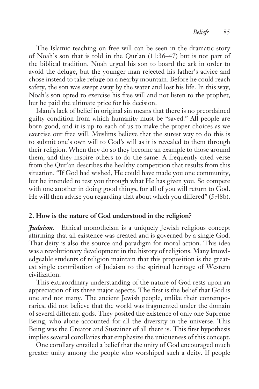The Islamic teaching on free will can be seen in the dramatic story of Noah's son that is told in the Qur'an (11:36–47) but is not part of the biblical tradition. Noah urged his son to board the ark in order to avoid the deluge, but the younger man rejected his father's advice and chose instead to take refuge on a nearby mountain. Before he could reach safety, the son was swept away by the water and lost his life. In this way, Noah's son opted to exercise his free will and not listen to the prophet, but he paid the ultimate price for his decision.

Islam's lack of belief in original sin means that there is no preordained guilty condition from which humanity must be "saved." All people are born good, and it is up to each of us to make the proper choices as we exercise our free will. Muslims believe that the surest way to do this is to submit one's own will to God's will as it is revealed to them through their religion. When they do so they become an example to those around them, and they inspire others to do the same. A frequently cited verse from the Qur'an describes the healthy competition that results from this situation. "If God had wished, He could have made you one community, but he intended to test you through what He has given you. So compete with one another in doing good things, for all of you will return to God. He will then advise you regarding that about which you differed" (5:48b).

#### **2. How is the nature of God understood in the religion?**

*Judaism.* Ethical monotheism is a uniquely Jewish religious concept affirming that all existence was created and is governed by a single God. That deity is also the source and paradigm for moral action. This idea was a revolutionary development in the history of religions. Many knowledgeable students of religion maintain that this proposition is the greatest single contribution of Judaism to the spiritual heritage of Western civilization.

This extraordinary understanding of the nature of God rests upon an appreciation of its three major aspects. The first is the belief that God is one and not many. The ancient Jewish people, unlike their contemporaries, did not believe that the world was fragmented under the domain of several different gods. They posited the existence of only one Supreme Being, who alone accounted for all the diversity in the universe. This Being was the Creator and Sustainer of all there is. This first hypothesis implies several corollaries that emphasize the uniqueness of this concept.

One corollary entailed a belief that the unity of God encouraged much greater unity among the people who worshiped such a deity. If people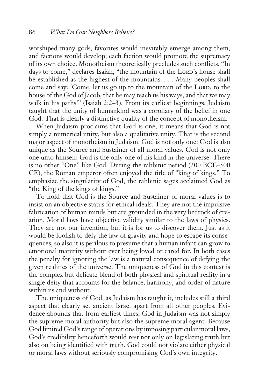worshiped many gods, favorites would inevitably emerge among them, and factions would develop; each faction would promote the supremacy of its own choice. Monotheism theoretically precludes such conflicts. "In days to come," declares Isaiah, "the mountain of the Lord's house shall be established as the highest of the mountains. . . . Many peoples shall come and say: 'Come, let us go up to the mountain of the Lord, to the house of the God of Jacob; that he may teach us his ways, and that we may walk in his paths'" (Isaiah 2:2–3). From its earliest beginnings, Judaism taught that the unity of humankind was a corollary of the belief in one God. That is clearly a distinctive quality of the concept of monotheism.

When Judaism proclaims that God is one, it means that God is not simply a numerical unity, but also a qualitative unity. That is the second major aspect of monotheism in Judaism. God is not only one: God is also unique as the Source and Sustainer of all moral values. God is not only one unto himself: God is the only one of his kind in the universe. There is no other "One" like God. During the rabbinic period (200 BCE–500 CE), the Roman emperor often enjoyed the title of "king of kings." To emphasize the singularity of God, the rabbinic sages acclaimed God as "the King of the kings of kings."

To hold that God is the Source and Sustainer of moral values is to insist on an objective status for ethical ideals. They are not the impulsive fabrication of human minds but are grounded in the very bedrock of creation. Moral laws have objective validity similar to the laws of physics. They are not our invention, but it is for us to discover them. Just as it would be foolish to defy the law of gravity and hope to escape its consequences, so also it is perilous to presume that a human infant can grow to emotional maturity without ever being loved or cared for. In both cases the penalty for ignoring the law is a natural consequence of defying the given realities of the universe. The uniqueness of God in this context is the complex but delicate blend of both physical and spiritual reality in a single deity that accounts for the balance, harmony, and order of nature within us and without.

The uniqueness of God, as Judaism has taught it, includes still a third aspect that clearly set ancient Israel apart from all other peoples. Evidence abounds that from earliest times, God in Judaism was not simply the supreme moral authority but also the supreme moral agent. Because God limited God's range of operations by imposing particular moral laws, God's credibility henceforth would rest not only on legislating truth but also on being identified with truth. God could not violate either physical or moral laws without seriously compromising God's own integrity.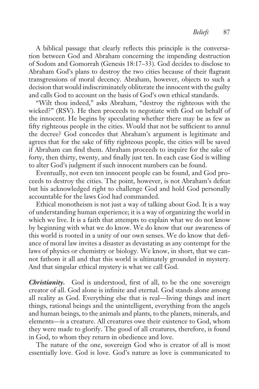A biblical passage that clearly reflects this principle is the conversation between God and Abraham concerning the impending destruction of Sodom and Gomorrah (Genesis 18:17–33). God decides to disclose to Abraham God's plans to destroy the two cities because of their flagrant transgressions of moral decency. Abraham, however, objects to such a decision that would indiscriminately obliterate the innocent with the guilty and calls God to account on the basis of God's own ethical standards.

"Wilt thou indeed," asks Abraham, "destroy the righteous with the wicked?" (RSV). He then proceeds to negotiate with God on behalf of the innocent. He begins by speculating whether there may be as few as fifty righteous people in the cities. Would that not be sufficient to annul the decree? God concedes that Abraham's argument is legitimate and agrees that for the sake of fifty righteous people, the cities will be saved if Abraham can find them. Abraham proceeds to inquire for the sake of forty, then thirty, twenty, and finally just ten. In each case God is willing to alter God's judgment if such innocent numbers can be found.

Eventually, not even ten innocent people can be found, and God proceeds to destroy the cities. The point, however, is not Abraham's defeat but his acknowledged right to challenge God and hold God personally accountable for the laws God had commanded.

Ethical monotheism is not just a way of talking about God. It is a way of understanding human experience; it is a way of organizing the world in which we live. It is a faith that attempts to explain what we do not know by beginning with what we do know. We do know that our awareness of this world is rooted in a unity of our own senses. We do know that defiance of moral law invites a disaster as devastating as any contempt for the laws of physics or chemistry or biology. We know, in short, that we cannot fathom it all and that this world is ultimately grounded in mystery. And that singular ethical mystery is what we call God.

*Christianity.* God is understood, first of all, to be the one sovereign creator of all. God alone is infinite and eternal. God stands alone among all reality as God. Everything else that is real—living things and inert things, rational beings and the unintelligent, everything from the angels and human beings, to the animals and plants, to the planets, minerals, and elements—is a creature. All creatures owe their existence to God, whom they were made to glorify. The good of all creatures, therefore, is found in God, to whom they return in obedience and love.

The nature of the one, sovereign God who is creator of all is most essentially love. God is love. God's nature as love is communicated to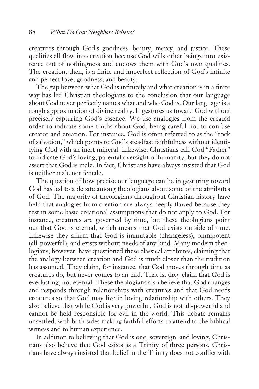creatures through God's goodness, beauty, mercy, and justice. These qualities all flow into creation because God wills other beings into existence out of nothingness and endows them with God's own qualities. The creation, then, is a finite and imperfect reflection of God's infinite and perfect love, goodness, and beauty.

The gap between what God is infinitely and what creation is in a finite way has led Christian theologians to the conclusion that our language about God never perfectly names what and who God is. Our language is a rough approximation of divine reality. It gestures us toward God without precisely capturing God's essence. We use analogies from the created order to indicate some truths about God, being careful not to confuse creator and creation. For instance, God is often referred to as the "rock of salvation," which points to God's steadfast faithfulness without identifying God with an inert mineral. Likewise, Christians call God "Father" to indicate God's loving, parental oversight of humanity, but they do not assert that God is male. In fact, Christians have always insisted that God is neither male nor female.

The question of how precise our language can be in gesturing toward God has led to a debate among theologians about some of the attributes of God. The majority of theologians throughout Christian history have held that analogies from creation are always deeply flawed because they rest in some basic creational assumptions that do not apply to God. For instance, creatures are governed by time, but these theologians point out that God is eternal, which means that God exists outside of time. Likewise they affirm that God is immutable (changeless), omnipotent (all-powerful), and exists without needs of any kind. Many modern theologians, however, have questioned these classical attributes, claiming that the analogy between creation and God is much closer than the tradition has assumed. They claim, for instance, that God moves through time as creatures do, but never comes to an end. That is, they claim that God is everlasting, not eternal. These theologians also believe that God changes and responds through relationships with creatures and that God needs creatures so that God may live in loving relationship with others. They also believe that while God is very powerful, God is not all-powerful and cannot be held responsible for evil in the world. This debate remains unsettled, with both sides making faithful efforts to attend to the biblical witness and to human experience.

In addition to believing that God is one, sovereign, and loving, Christians also believe that God exists as a Trinity of three persons. Christians have always insisted that belief in the Trinity does not conflict with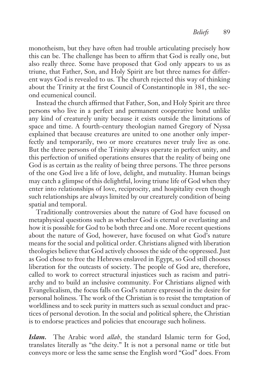monotheism, but they have often had trouble articulating precisely how this can be. The challenge has been to affirm that God is really one, but also really three. Some have proposed that God only appears to us as triune, that Father, Son, and Holy Spirit are but three names for different ways God is revealed to us. The church rejected this way of thinking about the Trinity at the first Council of Constantinople in 381, the second ecumenical council.

Instead the church affirmed that Father, Son, and Holy Spirit are three persons who live in a perfect and permanent cooperative bond unlike any kind of creaturely unity because it exists outside the limitations of space and time. A fourth-century theologian named Gregory of Nyssa explained that because creatures are united to one another only imperfectly and temporarily, two or more creatures never truly live as one. But the three persons of the Trinity always operate in perfect unity, and this perfection of unified operations ensures that the reality of being one God is as certain as the reality of being three persons. The three persons of the one God live a life of love, delight, and mutuality. Human beings may catch a glimpse of this delightful, loving triune life of God when they enter into relationships of love, reciprocity, and hospitality even though such relationships are always limited by our creaturely condition of being spatial and temporal.

Traditionally controversies about the nature of God have focused on metaphysical questions such as whether God is eternal or everlasting and how it is possible for God to be both three and one. More recent questions about the nature of God, however, have focused on what God's nature means for the social and political order. Christians aligned with liberation theologies believe that God actively chooses the side of the oppressed. Just as God chose to free the Hebrews enslaved in Egypt, so God still chooses liberation for the outcasts of society. The people of God are, therefore, called to work to correct structural injustices such as racism and patriarchy and to build an inclusive community. For Christians aligned with Evangelicalism, the focus falls on God's nature expressed in the desire for personal holiness. The work of the Christian is to resist the temptation of worldliness and to seek purity in matters such as sexual conduct and practices of personal devotion. In the social and political sphere, the Christian is to endorse practices and policies that encourage such holiness.

*Islam.* The Arabic word *allah*, the standard Islamic term for God, translates literally as "the deity." It is not a personal name or title but conveys more or less the same sense the English word "God" does. From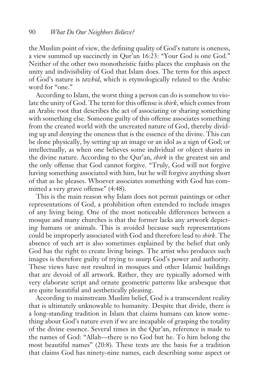the Muslim point of view, the defining quality of God's nature is oneness, a view summed up succinctly in Qur'an 16:23: "Your God is one God." Neither of the other two monotheistic faiths places the emphasis on the unity and indivisibility of God that Islam does. The term for this aspect of God's nature is *tawhid*, which is etymologically related to the Arabic word for "one."

According to Islam, the worst thing a person can do is somehow to violate the unity of God. The term for this offense is *shirk*, which comes from an Arabic root that describes the act of associating or sharing something with something else. Someone guilty of this offense associates something from the created world with the uncreated nature of God, thereby dividing up and denying the oneness that is the essence of the divine. This can be done physically, by setting up an image or an idol as a sign of God; or intellectually, as when one believes some individual or object shares in the divine nature. According to the Qur'an, *shirk* is the greatest sin and the only offense that God cannot forgive. "Truly, God will not forgive having something associated with him, but he will forgive anything short of that as he pleases. Whoever associates something with God has committed a very grave offense" (4:48).

This is the main reason why Islam does not permit paintings or other representations of God, a prohibition often extended to include images of any living being. One of the most noticeable differences between a mosque and many churches is that the former lacks any artwork depicting humans or animals. This is avoided because such representations could be improperly associated with God and therefore lead to *shirk*. The absence of such art is also sometimes explained by the belief that only God has the right to create living beings. The artist who produces such images is therefore guilty of trying to usurp God's power and authority. These views have not resulted in mosques and other Islamic buildings that are devoid of all artwork. Rather, they are typically adorned with very elaborate script and ornate geometric patterns like arabesque that are quite beautiful and aesthetically pleasing.

According to mainstream Muslim belief, God is a transcendent reality that is ultimately unknowable to humanity. Despite that divide, there is a long-standing tradition in Islam that claims humans can know something about God's nature even if we are incapable of grasping the totality of the divine essence. Several times in the Qur'an, reference is made to the names of God: "Allah—there is no God but he. To him belong the most beautiful names" (20:8). These texts are the basis for a tradition that claims God has ninety-nine names, each describing some aspect or